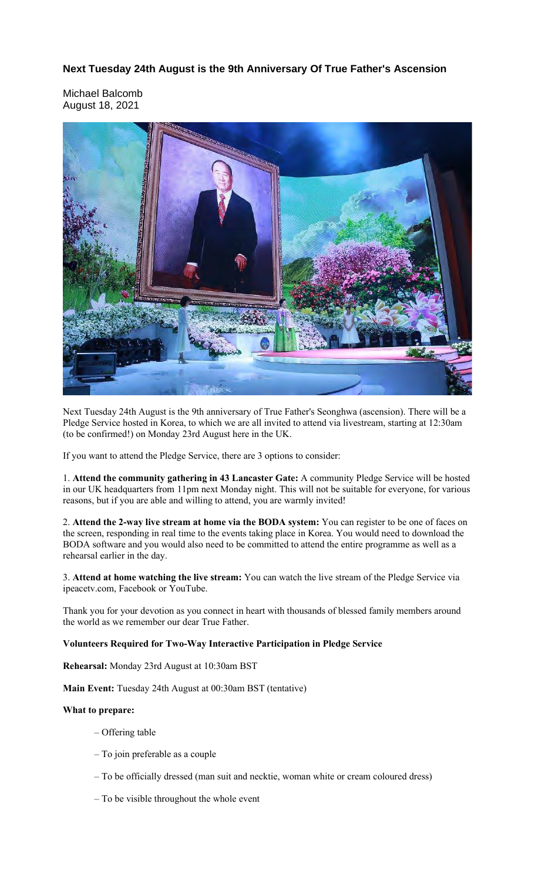**Next Tuesday 24th August is the 9th Anniversary Of True Father's Ascension**

Michael Balcomb August 18, 2021



Next Tuesday 24th August is the 9th anniversary of True Father's Seonghwa (ascension). There will be a Pledge Service hosted in Korea, to which we are all invited to attend via livestream, starting at 12:30am (to be confirmed!) on Monday 23rd August here in the UK.

If you want to attend the Pledge Service, there are 3 options to consider:

1. **Attend the community gathering in 43 Lancaster Gate:** A community Pledge Service will be hosted in our UK headquarters from 11pm next Monday night. This will not be suitable for everyone, for various reasons, but if you are able and willing to attend, you are warmly invited!

2. **Attend the 2-way live stream at home via the BODA system:** You can register to be one of faces on the screen, responding in real time to the events taking place in Korea. You would need to download the BODA software and you would also need to be committed to attend the entire programme as well as a rehearsal earlier in the day.

3. **Attend at home watching the live stream:** You can watch the live stream of the Pledge Service via ipeacetv.com, Facebook or YouTube.

Thank you for your devotion as you connect in heart with thousands of blessed family members around the world as we remember our dear True Father.

### **Volunteers Required for Two-Way Interactive Participation in Pledge Service**

**Rehearsal:** Monday 23rd August at 10:30am BST

**Main Event:** Tuesday 24th August at 00:30am BST (tentative)

### **What to prepare:**

- Offering table
- To join preferable as a couple
- To be officially dressed (man suit and necktie, woman white or cream coloured dress)
- To be visible throughout the whole event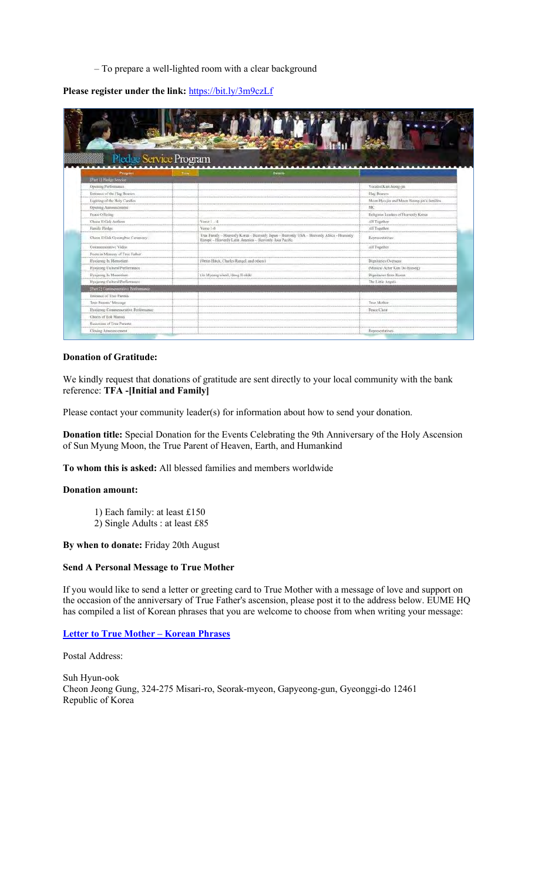– To prepare a well-lighted room with a clear background

**Please register under the link:** https://bit.ly/3m9czLf

|                                    | <b>The Property</b>                                                                                                                                  |                                            |
|------------------------------------|------------------------------------------------------------------------------------------------------------------------------------------------------|--------------------------------------------|
| Pledge Service Program             |                                                                                                                                                      |                                            |
|                                    |                                                                                                                                                      |                                            |
| Program                            | Details<br>Time                                                                                                                                      |                                            |
| [Part 1] Pledge Service            |                                                                                                                                                      |                                            |
| Opening Performance                |                                                                                                                                                      | Vocalist Kim Jeong-jin                     |
| Entrance of the Flag Bearers       |                                                                                                                                                      | Flag Bearers                               |
| Lighting of the Holy Candles       |                                                                                                                                                      | Moon Hyo-jin and Moon Heung-jin's families |
| Opening Announcement               |                                                                                                                                                      | MC                                         |
| Peace Offering                     |                                                                                                                                                      | Religious Leaders of Heavenly Korea        |
| Cheon Il Gule Anthem               | $Verse 1 - 4$                                                                                                                                        | All Together                               |
| Family Pledge                      | Verse 1-8                                                                                                                                            | All Together                               |
| Cheon II Guk Gyeongbac Ceremony.   | True Family - Heavenly Korea - Heavenly Japan - Heavenly USA - Heavenly Africa - Heavenly<br>Europe - Heavenly Latin America - Heavenly Asia Pacific | Representatives                            |
| Commemorative Video                |                                                                                                                                                      | All Togethe                                |
| Poem in Memory of Tree Father      |                                                                                                                                                      |                                            |
| Hyojeong In Memoriam               | (Orrin Hatch, Charles Rangel, and others)                                                                                                            | Dignitaries Overseas.                      |
| Hyojeong Cultural Performance      |                                                                                                                                                      | (Musical Actor Kim Do-hyoong)              |
| Hvajcong In Memoriam               | (Jo Mycong-cheol, Hong Il-shik)                                                                                                                      | Digolaries from Korea                      |
| Hyojeong Cultural Performusee      |                                                                                                                                                      | The Little Angels                          |
| [Part 2] Commemorative Performance |                                                                                                                                                      |                                            |
| Estimate of True Parents           |                                                                                                                                                      |                                            |
| True Parents' Message              |                                                                                                                                                      | True Mother                                |
| Hyojeong Commenweative Performance |                                                                                                                                                      | Peace Choir                                |
| Cheers of Eok Mansei               |                                                                                                                                                      |                                            |
|                                    |                                                                                                                                                      |                                            |

## **Donation of Gratitude:**

We kindly request that donations of gratitude are sent directly to your local community with the bank reference: **TFA -[Initial and Family]**

Please contact your community leader(s) for information about how to send your donation.

**Donation title:** Special Donation for the Events Celebrating the 9th Anniversary of the Holy Ascension of Sun Myung Moon, the True Parent of Heaven, Earth, and Humankind

**To whom this is asked:** All blessed families and members worldwide

### **Donation amount:**

- 1) Each family: at least £150
- 2) Single Adults : at least £85

### **By when to donate:** Friday 20th August

## **Send A Personal Message to True Mother**

If you would like to send a letter or greeting card to True Mother with a message of love and support on the occasion of the anniversary of True Father's ascension, please post it to the address below. EUME HQ has compiled a list of Korean phrases that you are welcome to choose from when writing your message:

### **Letter to True Mother – Korean Phrases**

Postal Address:

Suh Hyun-ook Cheon Jeong Gung, 324-275 Misari-ro, Seorak-myeon, Gapyeong-gun, Gyeonggi-do 12461 Republic of Korea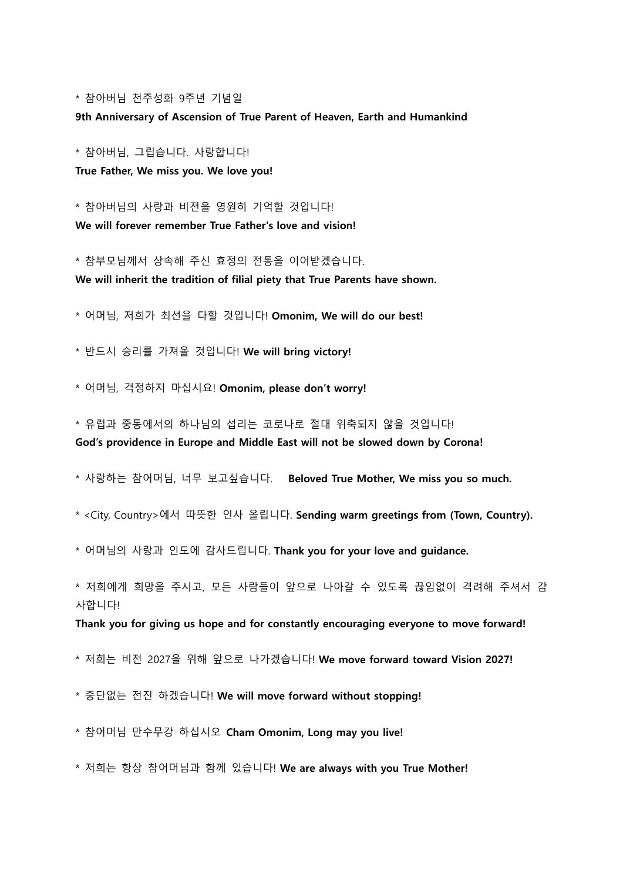\* 참아버님 천주성화 9주년 기념일

**9th Anniversary of Ascension of True Parent of Heaven, Earth and Humankind** 

\* 참아버님, 그립습니다. 사랑합니다!

**True Father, We miss you. We love you!**

\* 참아버님의 사랑과 비젼을 영원히 기억할 것입니다! **We will forever remember True Father's love and vision!**

\* 참부모님께서 상속해 주신 효정의 전통을 이어받겠습니다. **We will inherit the tradition of filial piety that True Parents have shown.**

\* 어머님, 저희가 최선을 다할 것입니다! **Omonim, We will do our best!**

\* 반드시 승리를 가져올 것입니다! **We will bring victory!**

\* 어머님, 걱정하지 마십시요! **Omonim, please don't worry!**

\* 유럽과 중동에서의 하나님의 섭리는 코로나로 절대 위축되지 않을 것입니다! **God's providence in Europe and Middle East will not be slowed down by Corona!**

\* 사랑하는 참어머님, 너무 보고싶습니다. **Beloved True Mother, We miss you so much.**

\* <City, Country>에서 따뜻한 인사 올립니다. **Sending warm greetings from (Town, Country).**

\* 어머님의 사랑과 인도에 감사드립니다. **Thank you for your love and guidance.**

\* 저희에게 희망을 주시고, 모든 사람들이 앞으로 나아갈 수 있도록 끊임없이 격려해 주셔서 감 사합니다!

**Thank you for giving us hope and for constantly encouraging everyone to move forward!** 

\* 저희는 비전 2027을 위해 앞으로 나가겠습니다! **We move forward toward Vision 2027!**

\* 중단없는 전진 하겠습니다! **We will move forward without stopping!**

\* 참어머님 만수무강 하십시오 **Cham Omonim, Long may you live!**

\* 저희는 항상 참어머님과 함께 있습니다! **We are always with you True Mother!**